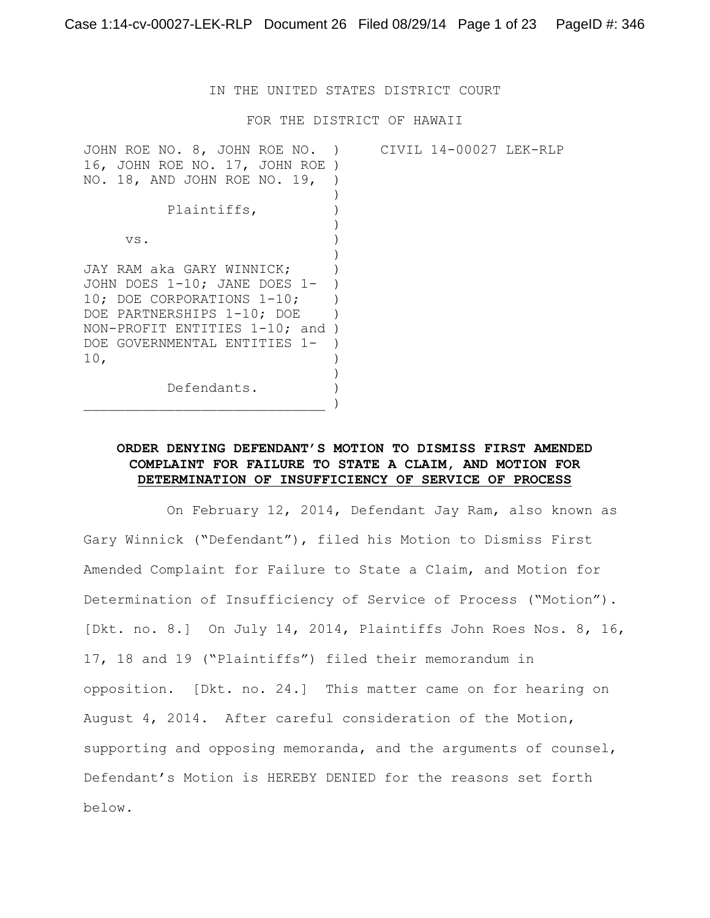IN THE UNITED STATES DISTRICT COURT

FOR THE DISTRICT OF HAWAII

| CIVIL 14-00027 LEK-RLP |
|------------------------|
|                        |
|                        |
|                        |
|                        |
|                        |
|                        |
|                        |
|                        |
|                        |
|                        |
|                        |
|                        |
|                        |
|                        |
|                        |
|                        |
|                        |
|                        |

# **ORDER DENYING DEFENDANT'S MOTION TO DISMISS FIRST AMENDED COMPLAINT FOR FAILURE TO STATE A CLAIM, AND MOTION FOR DETERMINATION OF INSUFFICIENCY OF SERVICE OF PROCESS**

On February 12, 2014, Defendant Jay Ram, also known as Gary Winnick ("Defendant"), filed his Motion to Dismiss First Amended Complaint for Failure to State a Claim, and Motion for Determination of Insufficiency of Service of Process ("Motion"). [Dkt. no. 8.] On July 14, 2014, Plaintiffs John Roes Nos. 8, 16, 17, 18 and 19 ("Plaintiffs") filed their memorandum in opposition. [Dkt. no. 24.] This matter came on for hearing on August 4, 2014. After careful consideration of the Motion, supporting and opposing memoranda, and the arguments of counsel, Defendant's Motion is HEREBY DENIED for the reasons set forth below.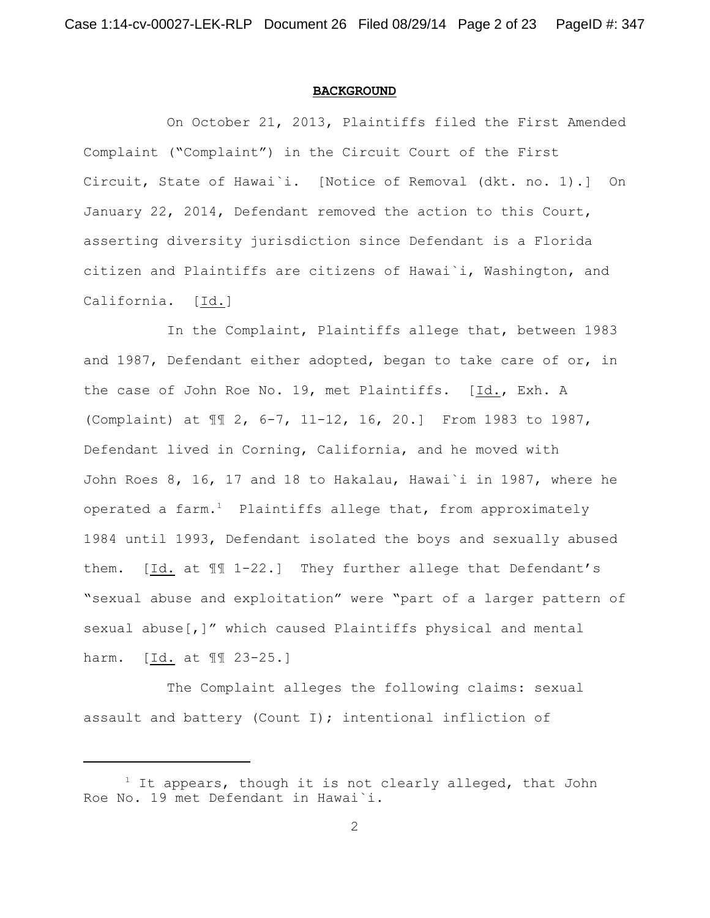#### **BACKGROUND**

On October 21, 2013, Plaintiffs filed the First Amended Complaint ("Complaint") in the Circuit Court of the First Circuit, State of Hawai`i. [Notice of Removal (dkt. no. 1).] On January 22, 2014, Defendant removed the action to this Court, asserting diversity jurisdiction since Defendant is a Florida citizen and Plaintiffs are citizens of Hawai`i, Washington, and California. [Id.]

In the Complaint, Plaintiffs allege that, between 1983 and 1987, Defendant either adopted, began to take care of or, in the case of John Roe No. 19, met Plaintiffs. [Id., Exh. A (Complaint) at ¶¶ 2, 6-7, 11-12, 16, 20.] From 1983 to 1987, Defendant lived in Corning, California, and he moved with John Roes 8, 16, 17 and 18 to Hakalau, Hawai`i in 1987, where he operated a farm.<sup>1</sup> Plaintiffs allege that, from approximately 1984 until 1993, Defendant isolated the boys and sexually abused them. [Id. at ¶¶ 1-22.] They further allege that Defendant's "sexual abuse and exploitation" were "part of a larger pattern of sexual abuse[,]" which caused Plaintiffs physical and mental harm. [Id. at ¶¶ 23-25.]

The Complaint alleges the following claims: sexual assault and battery (Count I); intentional infliction of

 $1$  It appears, though it is not clearly alleged, that John Roe No. 19 met Defendant in Hawai`i.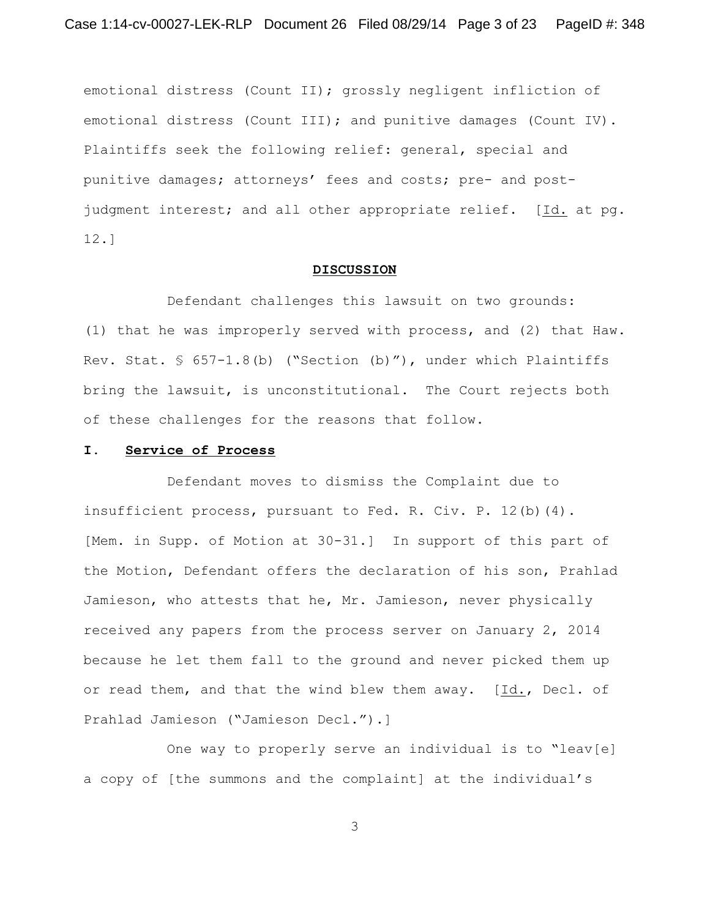emotional distress (Count II); grossly negligent infliction of emotional distress (Count III); and punitive damages (Count IV). Plaintiffs seek the following relief: general, special and punitive damages; attorneys' fees and costs; pre- and postjudgment interest; and all other appropriate relief. [Id. at pg. 12.]

#### **DISCUSSION**

Defendant challenges this lawsuit on two grounds: (1) that he was improperly served with process, and (2) that Haw. Rev. Stat. § 657-1.8(b) ("Section (b)"), under which Plaintiffs bring the lawsuit, is unconstitutional. The Court rejects both of these challenges for the reasons that follow.

#### **I. Service of Process**

Defendant moves to dismiss the Complaint due to insufficient process, pursuant to Fed. R. Civ. P. 12(b)(4). [Mem. in Supp. of Motion at 30-31.] In support of this part of the Motion, Defendant offers the declaration of his son, Prahlad Jamieson, who attests that he, Mr. Jamieson, never physically received any papers from the process server on January 2, 2014 because he let them fall to the ground and never picked them up or read them, and that the wind blew them away. [Id., Decl. of Prahlad Jamieson ("Jamieson Decl.").]

One way to properly serve an individual is to "leav[e] a copy of [the summons and the complaint] at the individual's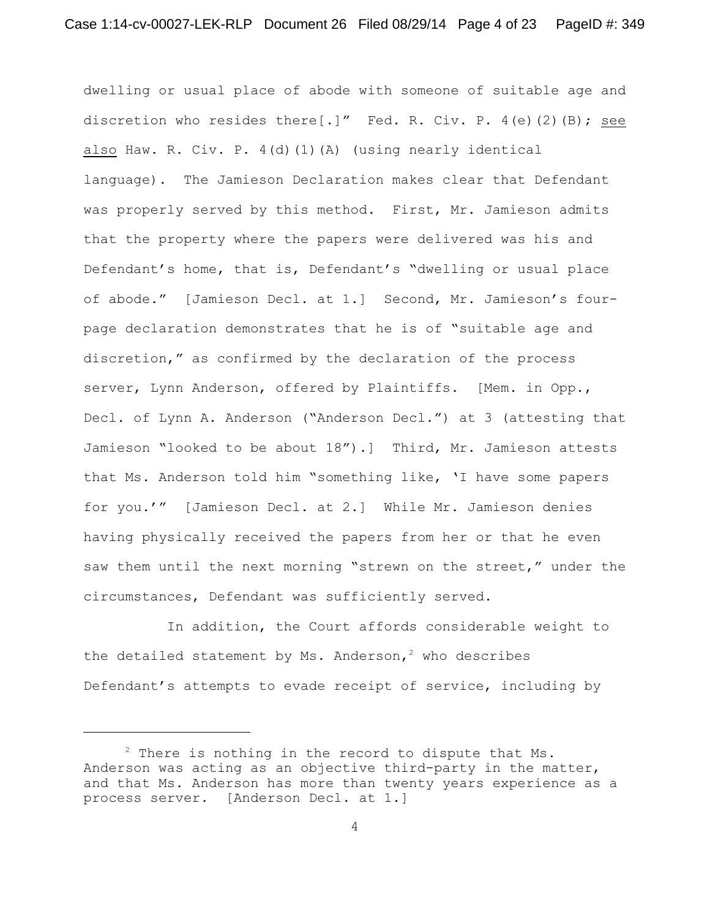dwelling or usual place of abode with someone of suitable age and discretion who resides there[.]" Fed. R. Civ. P.  $4(e)$  (2)(B); see also Haw. R. Civ. P. 4(d)(1)(A) (using nearly identical language). The Jamieson Declaration makes clear that Defendant was properly served by this method. First, Mr. Jamieson admits that the property where the papers were delivered was his and Defendant's home, that is, Defendant's "dwelling or usual place of abode." [Jamieson Decl. at 1.] Second, Mr. Jamieson's fourpage declaration demonstrates that he is of "suitable age and discretion," as confirmed by the declaration of the process server, Lynn Anderson, offered by Plaintiffs. [Mem. in Opp., Decl. of Lynn A. Anderson ("Anderson Decl.") at 3 (attesting that Jamieson "looked to be about 18").] Third, Mr. Jamieson attests that Ms. Anderson told him "something like, 'I have some papers for you.'" [Jamieson Decl. at 2.] While Mr. Jamieson denies having physically received the papers from her or that he even saw them until the next morning "strewn on the street," under the circumstances, Defendant was sufficiently served.

In addition, the Court affords considerable weight to the detailed statement by Ms. Anderson,<sup>2</sup> who describes Defendant's attempts to evade receipt of service, including by

 $2$  There is nothing in the record to dispute that Ms. Anderson was acting as an objective third-party in the matter, and that Ms. Anderson has more than twenty years experience as a process server. [Anderson Decl. at 1.]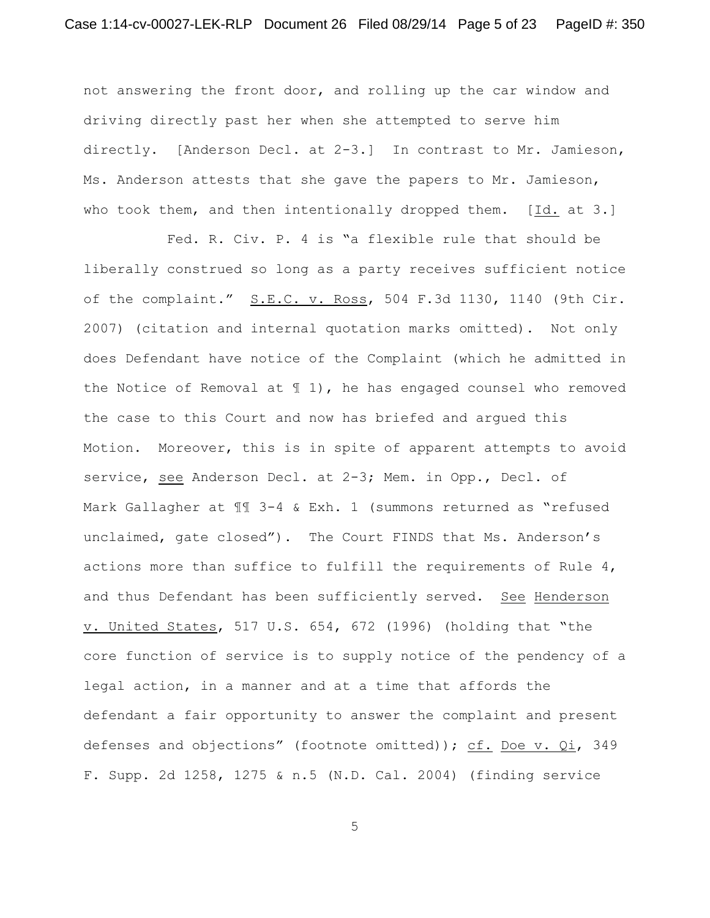not answering the front door, and rolling up the car window and driving directly past her when she attempted to serve him directly. [Anderson Decl. at 2-3.] In contrast to Mr. Jamieson, Ms. Anderson attests that she gave the papers to Mr. Jamieson, who took them, and then intentionally dropped them. [Id. at 3.]

Fed. R. Civ. P. 4 is "a flexible rule that should be liberally construed so long as a party receives sufficient notice of the complaint." S.E.C. v. Ross, 504 F.3d 1130, 1140 (9th Cir. 2007) (citation and internal quotation marks omitted). Not only does Defendant have notice of the Complaint (which he admitted in the Notice of Removal at  $\parallel$  1), he has engaged counsel who removed the case to this Court and now has briefed and argued this Motion. Moreover, this is in spite of apparent attempts to avoid service, see Anderson Decl. at 2-3; Mem. in Opp., Decl. of Mark Gallagher at  $\mathbb{II}$  3-4 & Exh. 1 (summons returned as "refused unclaimed, gate closed"). The Court FINDS that Ms. Anderson's actions more than suffice to fulfill the requirements of Rule 4, and thus Defendant has been sufficiently served. See Henderson v. United States, 517 U.S. 654, 672 (1996) (holding that "the core function of service is to supply notice of the pendency of a legal action, in a manner and at a time that affords the defendant a fair opportunity to answer the complaint and present defenses and objections" (footnote omitted)); cf. Doe v. Qi, 349 F. Supp. 2d 1258, 1275 & n.5 (N.D. Cal. 2004) (finding service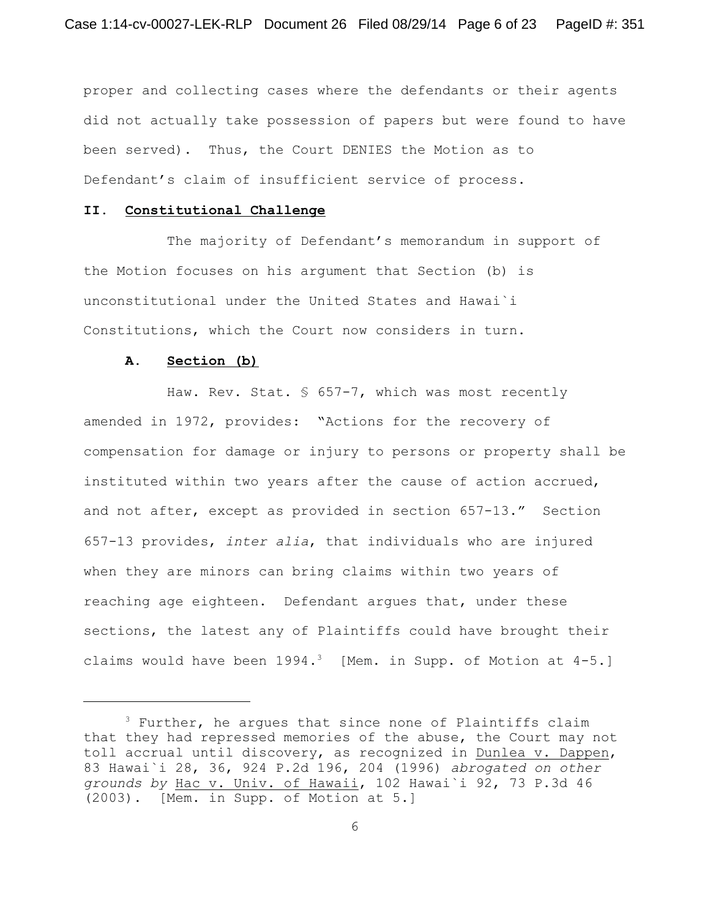proper and collecting cases where the defendants or their agents did not actually take possession of papers but were found to have been served). Thus, the Court DENIES the Motion as to Defendant's claim of insufficient service of process.

### **II. Constitutional Challenge**

The majority of Defendant's memorandum in support of the Motion focuses on his argument that Section (b) is unconstitutional under the United States and Hawai`i Constitutions, which the Court now considers in turn.

#### **A. Section (b)**

Haw. Rev. Stat. § 657-7, which was most recently amended in 1972, provides: "Actions for the recovery of compensation for damage or injury to persons or property shall be instituted within two years after the cause of action accrued, and not after, except as provided in section 657-13." Section 657-13 provides, *inter alia*, that individuals who are injured when they are minors can bring claims within two years of reaching age eighteen. Defendant argues that, under these sections, the latest any of Plaintiffs could have brought their claims would have been  $1994.3$  [Mem. in Supp. of Motion at  $4-5.$ ]

 $3$  Further, he argues that since none of Plaintiffs claim that they had repressed memories of the abuse, the Court may not toll accrual until discovery, as recognized in Dunlea v. Dappen, 83 Hawai`i 28, 36, 924 P.2d 196, 204 (1996) *abrogated on other grounds by* Hac v. Univ. of Hawaii, 102 Hawai`i 92, 73 P.3d 46 (2003). [Mem. in Supp. of Motion at 5.]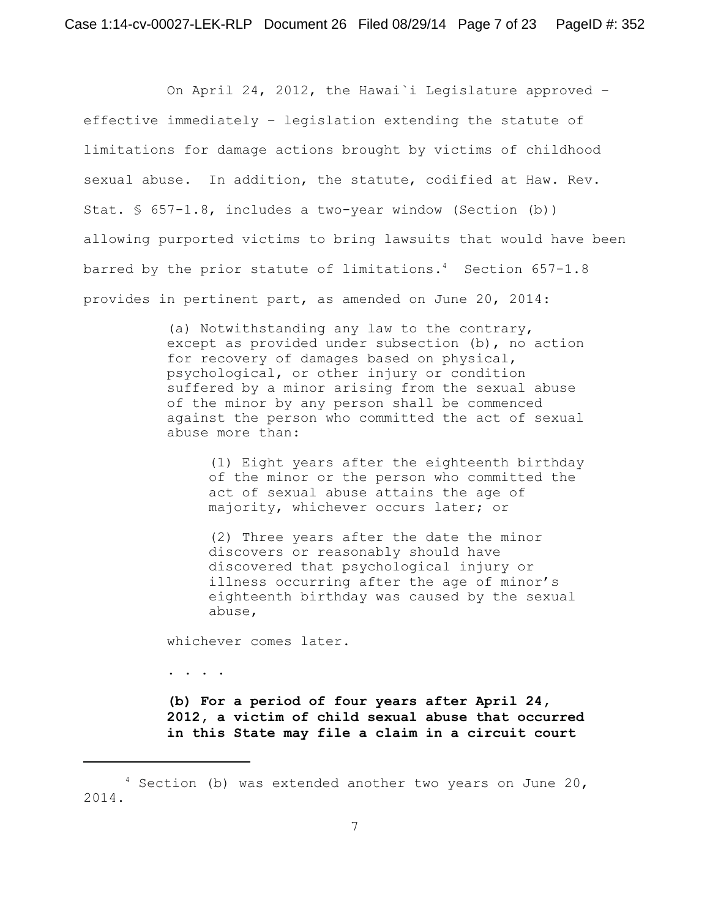On April 24, 2012, the Hawai`i Legislature approved – effective immediately – legislation extending the statute of limitations for damage actions brought by victims of childhood sexual abuse. In addition, the statute, codified at Haw. Rev. Stat. § 657-1.8, includes a two-year window (Section (b)) allowing purported victims to bring lawsuits that would have been barred by the prior statute of limitations.<sup>4</sup> Section  $657-1.8$ provides in pertinent part, as amended on June 20, 2014:

> (a) Notwithstanding any law to the contrary, except as provided under subsection (b), no action for recovery of damages based on physical, psychological, or other injury or condition suffered by a minor arising from the sexual abuse of the minor by any person shall be commenced against the person who committed the act of sexual abuse more than:

(1) Eight years after the eighteenth birthday of the minor or the person who committed the act of sexual abuse attains the age of majority, whichever occurs later; or

(2) Three years after the date the minor discovers or reasonably should have discovered that psychological injury or illness occurring after the age of minor's eighteenth birthday was caused by the sexual abuse,

whichever comes later.

. . . .

**(b) For a period of four years after April 24, 2012, a victim of child sexual abuse that occurred in this State may file a claim in a circuit court**

 $4$  Section (b) was extended another two years on June 20, 2014.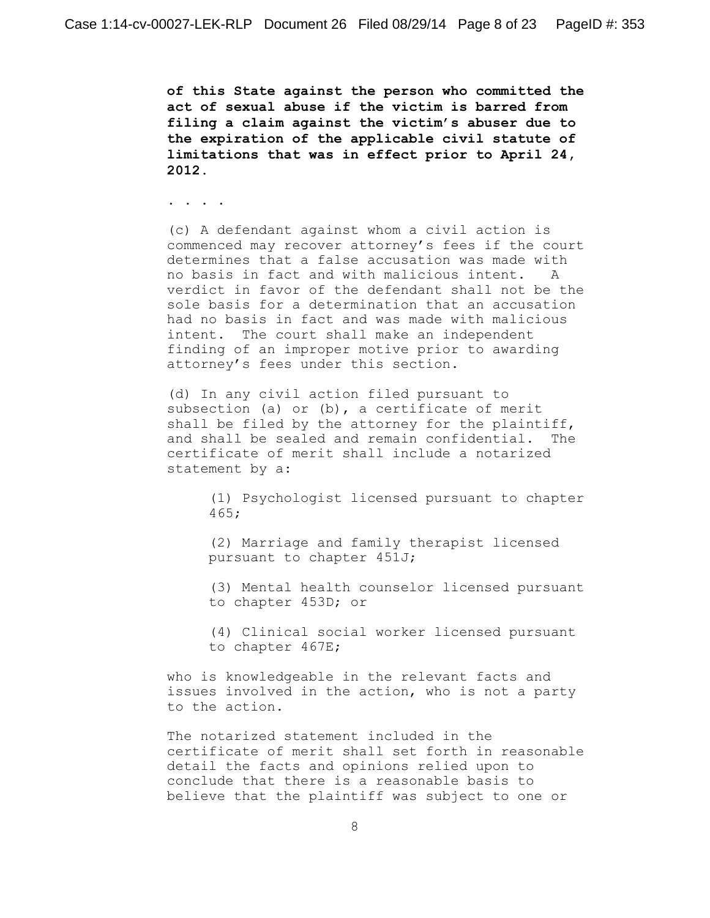**of this State against the person who committed the act of sexual abuse if the victim is barred from filing a claim against the victim's abuser due to the expiration of the applicable civil statute of limitations that was in effect prior to April 24, 2012.**

. . . .

(c) A defendant against whom a civil action is commenced may recover attorney's fees if the court determines that a false accusation was made with no basis in fact and with malicious intent. A verdict in favor of the defendant shall not be the sole basis for a determination that an accusation had no basis in fact and was made with malicious intent. The court shall make an independent finding of an improper motive prior to awarding attorney's fees under this section.

(d) In any civil action filed pursuant to subsection (a) or (b), a certificate of merit shall be filed by the attorney for the plaintiff, and shall be sealed and remain confidential. The certificate of merit shall include a notarized statement by a:

> (1) Psychologist licensed pursuant to chapter 465;

(2) Marriage and family therapist licensed pursuant to chapter 451J;

(3) Mental health counselor licensed pursuant to chapter 453D; or

(4) Clinical social worker licensed pursuant to chapter 467E;

who is knowledgeable in the relevant facts and issues involved in the action, who is not a party to the action.

The notarized statement included in the certificate of merit shall set forth in reasonable detail the facts and opinions relied upon to conclude that there is a reasonable basis to believe that the plaintiff was subject to one or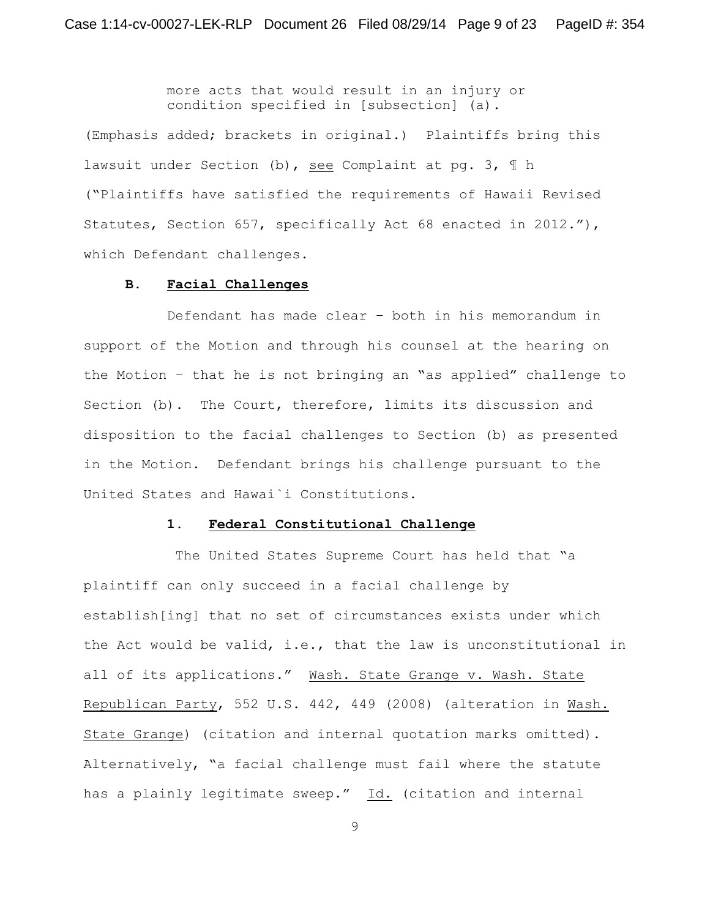more acts that would result in an injury or condition specified in [subsection] (a).

(Emphasis added; brackets in original.) Plaintiffs bring this lawsuit under Section (b), see Complaint at pg. 3, ¶ h ("Plaintiffs have satisfied the requirements of Hawaii Revised Statutes, Section 657, specifically Act 68 enacted in 2012."), which Defendant challenges.

#### **B. Facial Challenges**

Defendant has made clear – both in his memorandum in support of the Motion and through his counsel at the hearing on the Motion – that he is not bringing an "as applied" challenge to Section (b). The Court, therefore, limits its discussion and disposition to the facial challenges to Section (b) as presented in the Motion. Defendant brings his challenge pursuant to the United States and Hawai`i Constitutions.

#### **1. Federal Constitutional Challenge**

 The United States Supreme Court has held that "a plaintiff can only succeed in a facial challenge by establish[ing] that no set of circumstances exists under which the Act would be valid, i.e., that the law is unconstitutional in all of its applications." Wash. State Grange v. Wash. State Republican Party, 552 U.S. 442, 449 (2008) (alteration in Wash. State Grange) (citation and internal quotation marks omitted). Alternatively, "a facial challenge must fail where the statute has a plainly legitimate sweep." Id. (citation and internal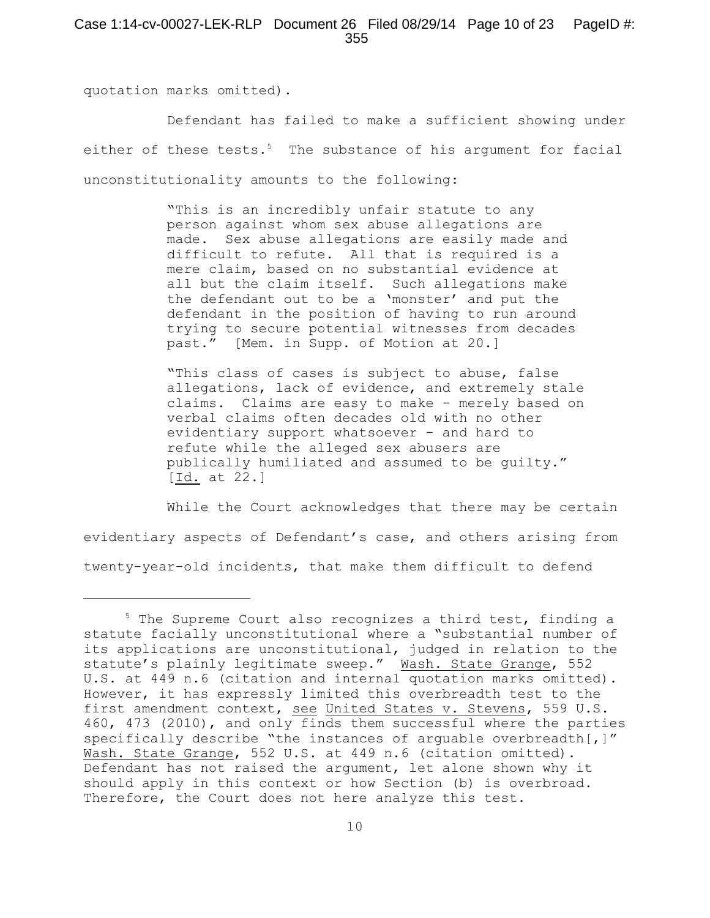quotation marks omitted).

Defendant has failed to make a sufficient showing under either of these tests.<sup>5</sup> The substance of his argument for facial unconstitutionality amounts to the following:

> "This is an incredibly unfair statute to any person against whom sex abuse allegations are made. Sex abuse allegations are easily made and difficult to refute. All that is required is a mere claim, based on no substantial evidence at all but the claim itself. Such allegations make the defendant out to be a 'monster' and put the defendant in the position of having to run around trying to secure potential witnesses from decades past." [Mem. in Supp. of Motion at 20.]

"This class of cases is subject to abuse, false allegations, lack of evidence, and extremely stale claims. Claims are easy to make - merely based on verbal claims often decades old with no other evidentiary support whatsoever - and hard to refute while the alleged sex abusers are publically humiliated and assumed to be guilty." [Id. at 22.]

While the Court acknowledges that there may be certain evidentiary aspects of Defendant's case, and others arising from twenty-year-old incidents, that make them difficult to defend

 $5$  The Supreme Court also recognizes a third test, finding a statute facially unconstitutional where a "substantial number of its applications are unconstitutional, judged in relation to the statute's plainly legitimate sweep." Wash. State Grange, 552 U.S. at 449 n.6 (citation and internal quotation marks omitted). However, it has expressly limited this overbreadth test to the first amendment context, see United States v. Stevens, 559 U.S. 460, 473 (2010), and only finds them successful where the parties specifically describe "the instances of arguable overbreadth[,]" Wash. State Grange, 552 U.S. at 449 n.6 (citation omitted). Defendant has not raised the argument, let alone shown why it should apply in this context or how Section (b) is overbroad. Therefore, the Court does not here analyze this test.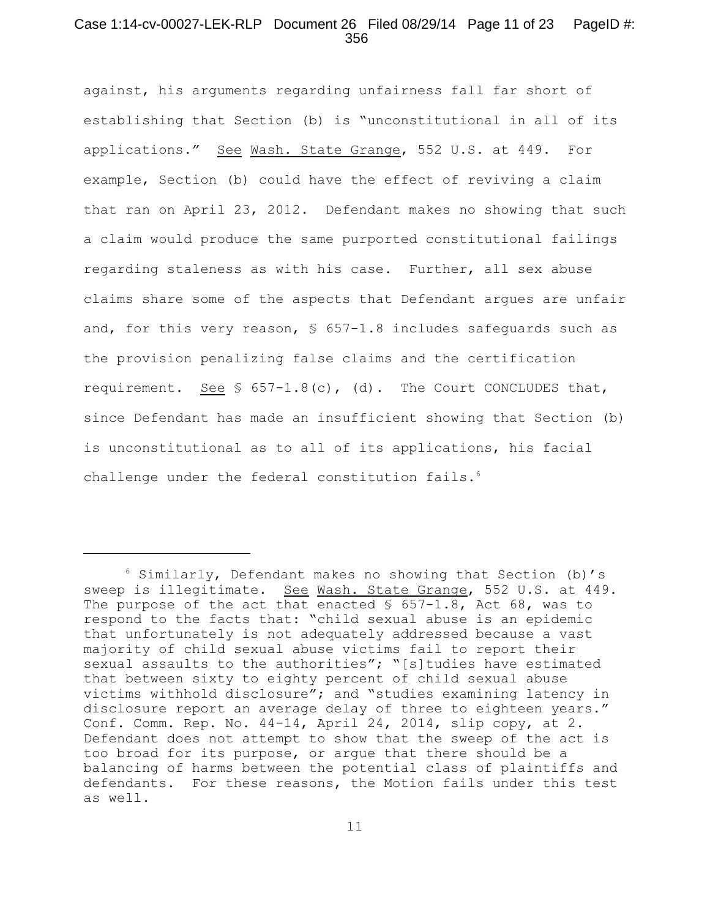## Case 1:14-cv-00027-LEK-RLP Document 26 Filed 08/29/14 Page 11 of 23 PageID #: 356

against, his arguments regarding unfairness fall far short of establishing that Section (b) is "unconstitutional in all of its applications." See Wash. State Grange, 552 U.S. at 449. For example, Section (b) could have the effect of reviving a claim that ran on April 23, 2012. Defendant makes no showing that such a claim would produce the same purported constitutional failings regarding staleness as with his case. Further, all sex abuse claims share some of the aspects that Defendant argues are unfair and, for this very reason,  $\frac{1}{5}$  657-1.8 includes safeguards such as the provision penalizing false claims and the certification requirement. See  $\frac{1}{5}$  657-1.8(c), (d). The Court CONCLUDES that, since Defendant has made an insufficient showing that Section (b) is unconstitutional as to all of its applications, his facial challenge under the federal constitution fails. 6

 $6$  Similarly, Defendant makes no showing that Section (b)'s sweep is illegitimate. See Wash. State Grange, 552 U.S. at 449. The purpose of the act that enacted  $\frac{1}{5}$  657-1.8, Act 68, was to respond to the facts that: "child sexual abuse is an epidemic that unfortunately is not adequately addressed because a vast majority of child sexual abuse victims fail to report their sexual assaults to the authorities"; "[s]tudies have estimated that between sixty to eighty percent of child sexual abuse victims withhold disclosure"; and "studies examining latency in disclosure report an average delay of three to eighteen years." Conf. Comm. Rep. No. 44-14, April 24, 2014, slip copy, at 2. Defendant does not attempt to show that the sweep of the act is too broad for its purpose, or argue that there should be a balancing of harms between the potential class of plaintiffs and defendants. For these reasons, the Motion fails under this test as well.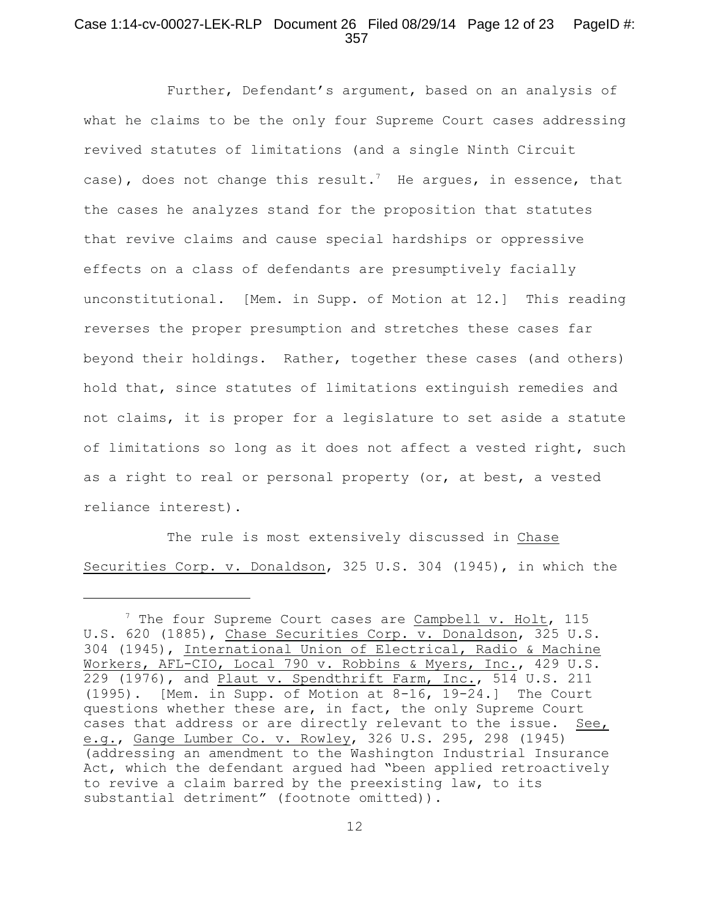## Case 1:14-cv-00027-LEK-RLP Document 26 Filed 08/29/14 Page 12 of 23 PageID #: 357

Further, Defendant's argument, based on an analysis of what he claims to be the only four Supreme Court cases addressing revived statutes of limitations (and a single Ninth Circuit case), does not change this result.<sup>7</sup> He argues, in essence, that the cases he analyzes stand for the proposition that statutes that revive claims and cause special hardships or oppressive effects on a class of defendants are presumptively facially unconstitutional. [Mem. in Supp. of Motion at 12.] This reading reverses the proper presumption and stretches these cases far beyond their holdings. Rather, together these cases (and others) hold that, since statutes of limitations extinguish remedies and not claims, it is proper for a legislature to set aside a statute of limitations so long as it does not affect a vested right, such as a right to real or personal property (or, at best, a vested reliance interest).

The rule is most extensively discussed in Chase Securities Corp. v. Donaldson, 325 U.S. 304 (1945), in which the

 $^7$  The four Supreme Court cases are Campbell v. Holt, 115 U.S. 620 (1885), Chase Securities Corp. v. Donaldson, 325 U.S. 304 (1945), International Union of Electrical, Radio & Machine Workers, AFL-CIO, Local 790 v. Robbins & Myers, Inc., 429 U.S. 229 (1976), and Plaut v. Spendthrift Farm, Inc., 514 U.S. 211 (1995). [Mem. in Supp. of Motion at 8-16, 19-24.] The Court questions whether these are, in fact, the only Supreme Court cases that address or are directly relevant to the issue. See, e.g., Gange Lumber Co. v. Rowley, 326 U.S. 295, 298 (1945) (addressing an amendment to the Washington Industrial Insurance Act, which the defendant argued had "been applied retroactively to revive a claim barred by the preexisting law, to its substantial detriment" (footnote omitted)).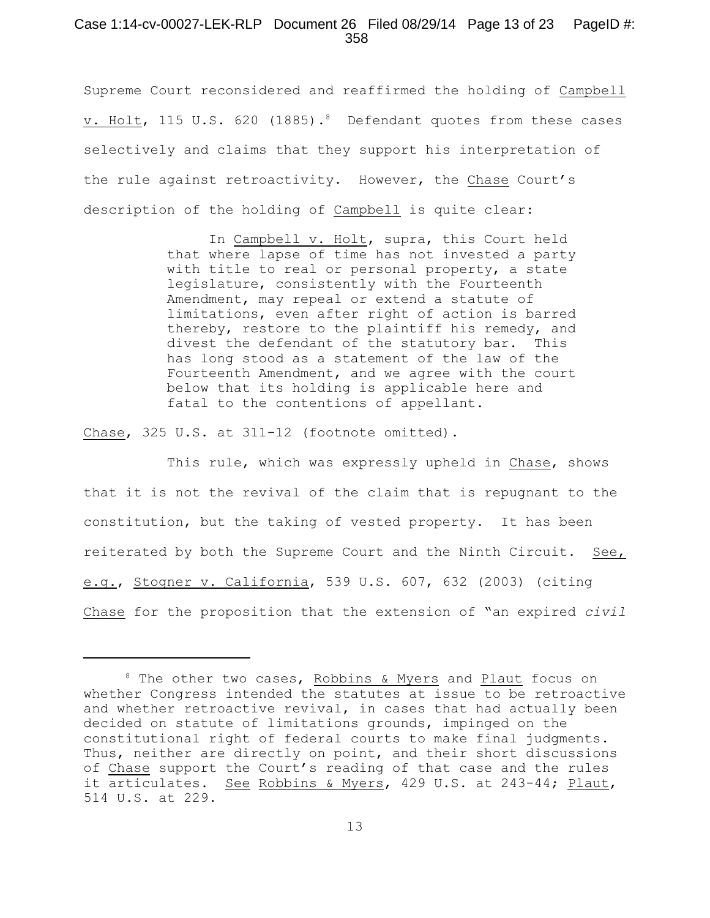### Case 1:14-cv-00027-LEK-RLP Document 26 Filed 08/29/14 Page 13 of 23 PageID #: 358

Supreme Court reconsidered and reaffirmed the holding of Campbell v. Holt, 115 U.S. 620 (1885).<sup>8</sup> Defendant quotes from these cases selectively and claims that they support his interpretation of the rule against retroactivity. However, the Chase Court's description of the holding of Campbell is quite clear:

> In Campbell v. Holt, supra, this Court held that where lapse of time has not invested a party with title to real or personal property, a state legislature, consistently with the Fourteenth Amendment, may repeal or extend a statute of limitations, even after right of action is barred thereby, restore to the plaintiff his remedy, and divest the defendant of the statutory bar. This has long stood as a statement of the law of the Fourteenth Amendment, and we agree with the court below that its holding is applicable here and fatal to the contentions of appellant.

Chase, 325 U.S. at 311-12 (footnote omitted).

This rule, which was expressly upheld in Chase, shows that it is not the revival of the claim that is repugnant to the constitution, but the taking of vested property. It has been reiterated by both the Supreme Court and the Ninth Circuit. See, e.g., Stogner v. California, 539 U.S. 607, 632 (2003) (citing Chase for the proposition that the extension of "an expired *civil*

 $8$  The other two cases, Robbins & Myers and Plaut focus on whether Congress intended the statutes at issue to be retroactive and whether retroactive revival, in cases that had actually been decided on statute of limitations grounds, impinged on the constitutional right of federal courts to make final judgments. Thus, neither are directly on point, and their short discussions of Chase support the Court's reading of that case and the rules it articulates. See Robbins & Myers, 429 U.S. at 243-44; Plaut, 514 U.S. at 229.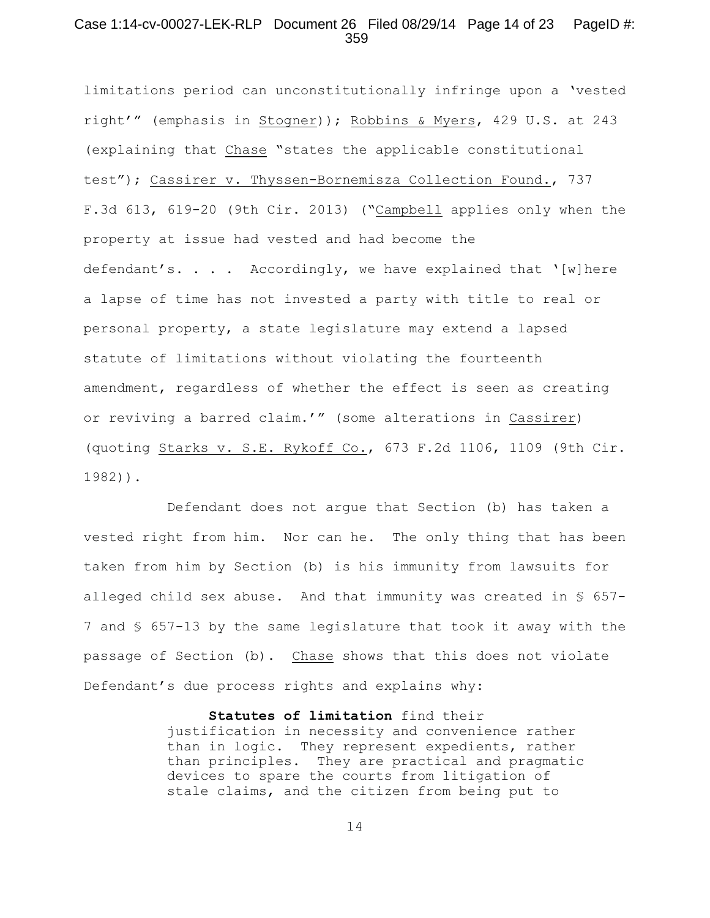## Case 1:14-cv-00027-LEK-RLP Document 26 Filed 08/29/14 Page 14 of 23 PageID #: 359

limitations period can unconstitutionally infringe upon a 'vested right'" (emphasis in Stogner)); Robbins & Myers, 429 U.S. at 243 (explaining that Chase "states the applicable constitutional test"); Cassirer v. Thyssen-Bornemisza Collection Found., 737 F.3d 613, 619-20 (9th Cir. 2013) ("Campbell applies only when the property at issue had vested and had become the defendant's. . . . Accordingly, we have explained that '[w]here a lapse of time has not invested a party with title to real or personal property, a state legislature may extend a lapsed statute of limitations without violating the fourteenth amendment, regardless of whether the effect is seen as creating or reviving a barred claim.'" (some alterations in Cassirer) (quoting Starks v. S.E. Rykoff Co., 673 F.2d 1106, 1109 (9th Cir. 1982)).

Defendant does not argue that Section (b) has taken a vested right from him. Nor can he. The only thing that has been taken from him by Section (b) is his immunity from lawsuits for alleged child sex abuse. And that immunity was created in  $\S$  657-7 and § 657-13 by the same legislature that took it away with the passage of Section (b). Chase shows that this does not violate Defendant's due process rights and explains why:

> **Statutes of limitation** find their justification in necessity and convenience rather than in logic. They represent expedients, rather than principles. They are practical and pragmatic devices to spare the courts from litigation of stale claims, and the citizen from being put to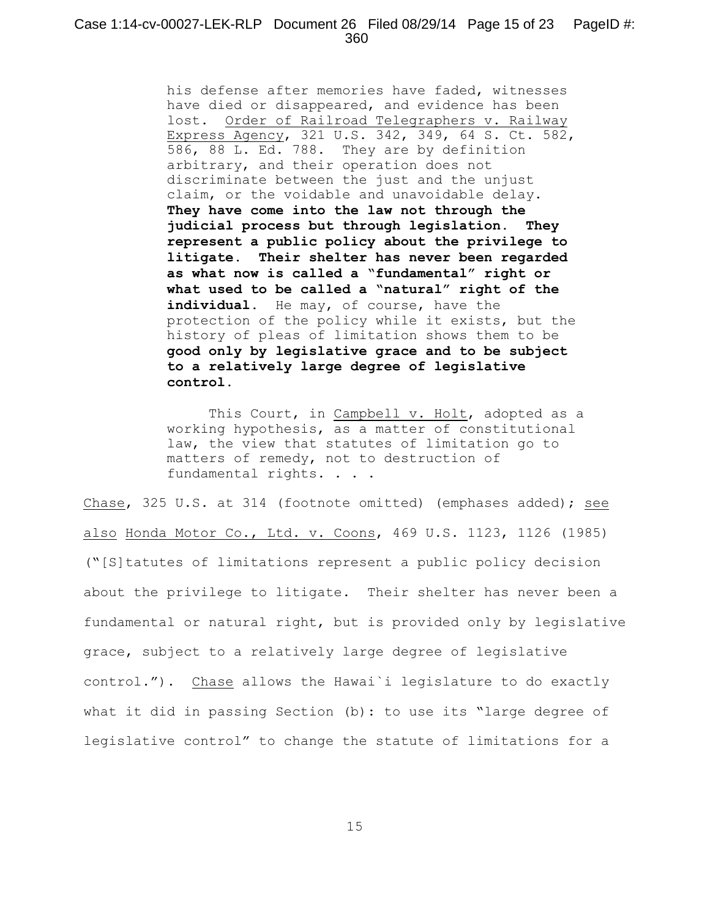his defense after memories have faded, witnesses have died or disappeared, and evidence has been lost. Order of Railroad Telegraphers v. Railway Express Agency, 321 U.S. 342, 349, 64 S. Ct. 582, 586, 88 L. Ed. 788. They are by definition arbitrary, and their operation does not discriminate between the just and the unjust claim, or the voidable and unavoidable delay. **They have come into the law not through the judicial process but through legislation. They represent a public policy about the privilege to litigate. Their shelter has never been regarded as what now is called a "fundamental" right or what used to be called a "natural" right of the** individual. He may, of course, have the protection of the policy while it exists, but the history of pleas of limitation shows them to be **good only by legislative grace and to be subject to a relatively large degree of legislative control.**

This Court, in Campbell v. Holt, adopted as a working hypothesis, as a matter of constitutional law, the view that statutes of limitation go to matters of remedy, not to destruction of fundamental rights. . . .

Chase, 325 U.S. at 314 (footnote omitted) (emphases added); see also Honda Motor Co., Ltd. v. Coons, 469 U.S. 1123, 1126 (1985) ("[S]tatutes of limitations represent a public policy decision about the privilege to litigate. Their shelter has never been a fundamental or natural right, but is provided only by legislative grace, subject to a relatively large degree of legislative control."). Chase allows the Hawai`i legislature to do exactly what it did in passing Section (b): to use its "large degree of legislative control" to change the statute of limitations for a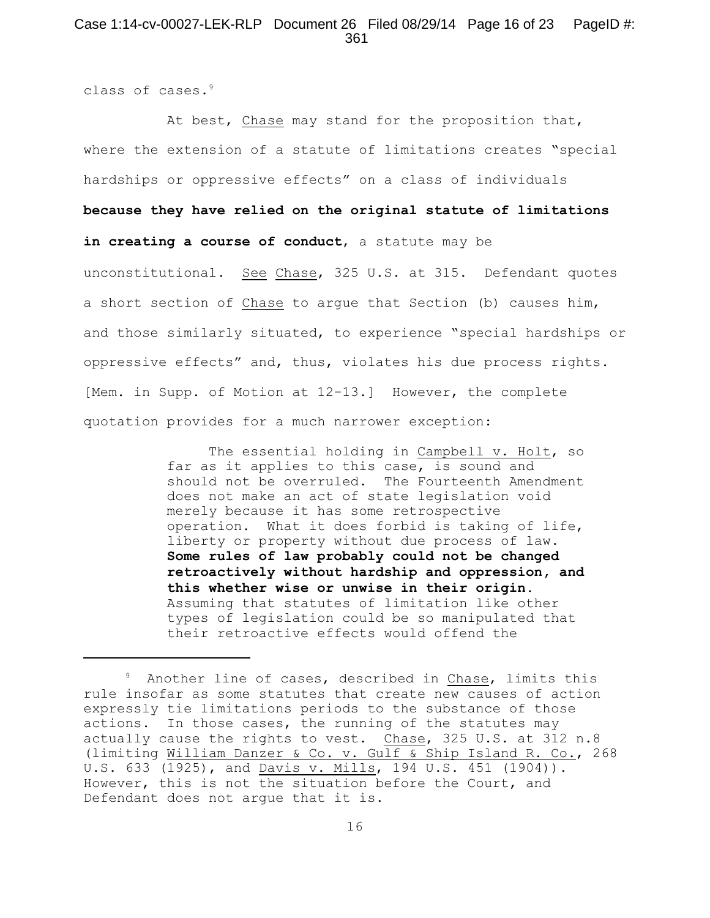## Case 1:14-cv-00027-LEK-RLP Document 26 Filed 08/29/14 Page 16 of 23 PageID #: 361

class of cases. 9

At best, Chase may stand for the proposition that, where the extension of a statute of limitations creates "special hardships or oppressive effects" on a class of individuals **because they have relied on the original statute of limitations in creating a course of conduct**, a statute may be unconstitutional. See Chase, 325 U.S. at 315. Defendant quotes a short section of Chase to argue that Section (b) causes him, and those similarly situated, to experience "special hardships or oppressive effects" and, thus, violates his due process rights. [Mem. in Supp. of Motion at 12-13.] However, the complete quotation provides for a much narrower exception:

> The essential holding in Campbell v. Holt, so far as it applies to this case, is sound and should not be overruled. The Fourteenth Amendment does not make an act of state legislation void merely because it has some retrospective operation. What it does forbid is taking of life, liberty or property without due process of law. **Some rules of law probably could not be changed retroactively without hardship and oppression, and this whether wise or unwise in their origin.** Assuming that statutes of limitation like other types of legislation could be so manipulated that their retroactive effects would offend the

<sup>&</sup>lt;sup>9</sup> Another line of cases, described in Chase, limits this rule insofar as some statutes that create new causes of action expressly tie limitations periods to the substance of those actions. In those cases, the running of the statutes may actually cause the rights to vest. Chase, 325 U.S. at 312 n.8 (limiting William Danzer & Co. v. Gulf & Ship Island R. Co., 268 U.S. 633 (1925), and Davis v. Mills, 194 U.S. 451 (1904)). However, this is not the situation before the Court, and Defendant does not argue that it is.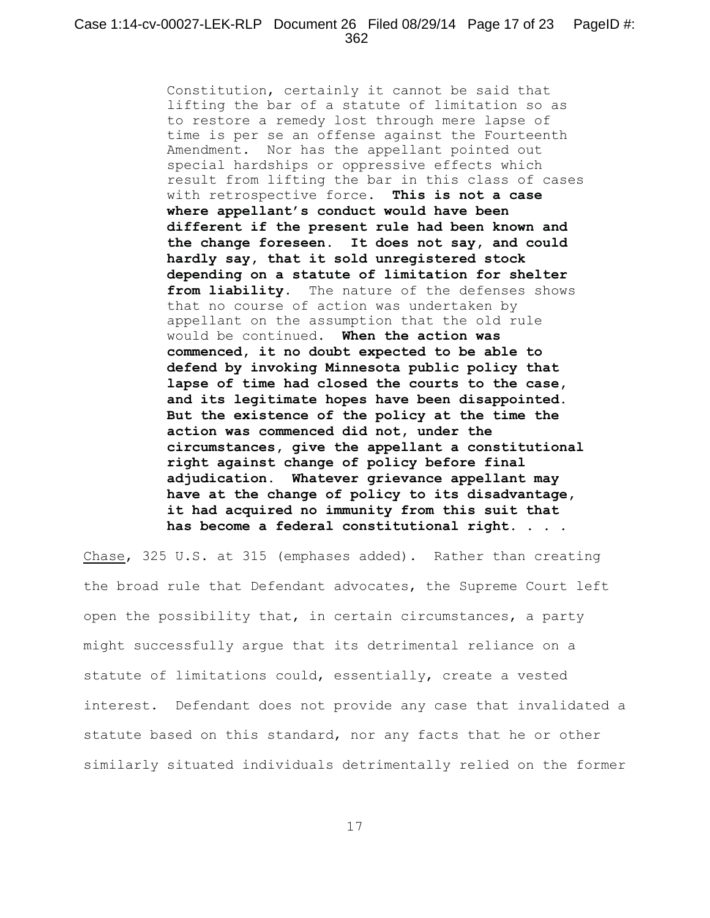Constitution, certainly it cannot be said that lifting the bar of a statute of limitation so as to restore a remedy lost through mere lapse of time is per se an offense against the Fourteenth Amendment. Nor has the appellant pointed out special hardships or oppressive effects which result from lifting the bar in this class of cases with retrospective force. **This is not a case where appellant's conduct would have been different if the present rule had been known and the change foreseen. It does not say, and could hardly say, that it sold unregistered stock depending on a statute of limitation for shelter from liability.** The nature of the defenses shows that no course of action was undertaken by appellant on the assumption that the old rule would be continued. **When the action was commenced, it no doubt expected to be able to defend by invoking Minnesota public policy that lapse of time had closed the courts to the case, and its legitimate hopes have been disappointed. But the existence of the policy at the time the action was commenced did not, under the circumstances, give the appellant a constitutional right against change of policy before final adjudication. Whatever grievance appellant may have at the change of policy to its disadvantage, it had acquired no immunity from this suit that has become a federal constitutional right.** . . .

Chase, 325 U.S. at 315 (emphases added). Rather than creating the broad rule that Defendant advocates, the Supreme Court left open the possibility that, in certain circumstances, a party might successfully argue that its detrimental reliance on a statute of limitations could, essentially, create a vested interest. Defendant does not provide any case that invalidated a statute based on this standard, nor any facts that he or other similarly situated individuals detrimentally relied on the former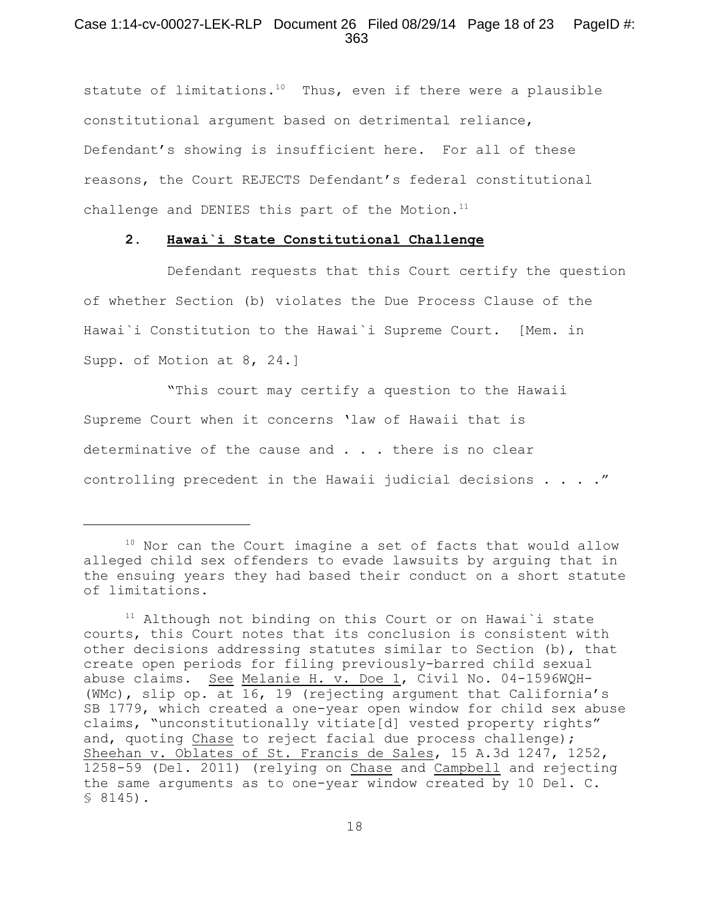## Case 1:14-cv-00027-LEK-RLP Document 26 Filed 08/29/14 Page 18 of 23 PageID #: 363

statute of limitations.<sup>10</sup> Thus, even if there were a plausible constitutional argument based on detrimental reliance, Defendant's showing is insufficient here. For all of these reasons, the Court REJECTS Defendant's federal constitutional challenge and DENIES this part of the Motion.<sup>11</sup>

#### **2. Hawai`i State Constitutional Challenge**

Defendant requests that this Court certify the question of whether Section (b) violates the Due Process Clause of the Hawai`i Constitution to the Hawai`i Supreme Court. [Mem. in Supp. of Motion at 8, 24.]

"This court may certify a question to the Hawaii Supreme Court when it concerns 'law of Hawaii that is determinative of the cause and  $\ldots$  there is no clear controlling precedent in the Hawaii judicial decisions . . . ."

 $10$  Nor can the Court imagine a set of facts that would allow alleged child sex offenders to evade lawsuits by arguing that in the ensuing years they had based their conduct on a short statute of limitations.

 $11$  Although not binding on this Court or on Hawai'i state courts, this Court notes that its conclusion is consistent with other decisions addressing statutes similar to Section (b), that create open periods for filing previously-barred child sexual abuse claims. See Melanie H. v. Doe 1, Civil No. 04-1596WQH-(WMc), slip op. at 16, 19 (rejecting argument that California's SB 1779, which created a one-year open window for child sex abuse claims, "unconstitutionally vitiate[d] vested property rights" and, quoting Chase to reject facial due process challenge); Sheehan v. Oblates of St. Francis de Sales, 15 A.3d 1247, 1252, 1258-59 (Del. 2011) (relying on Chase and Campbell and rejecting the same arguments as to one-year window created by 10 Del. C. § 8145).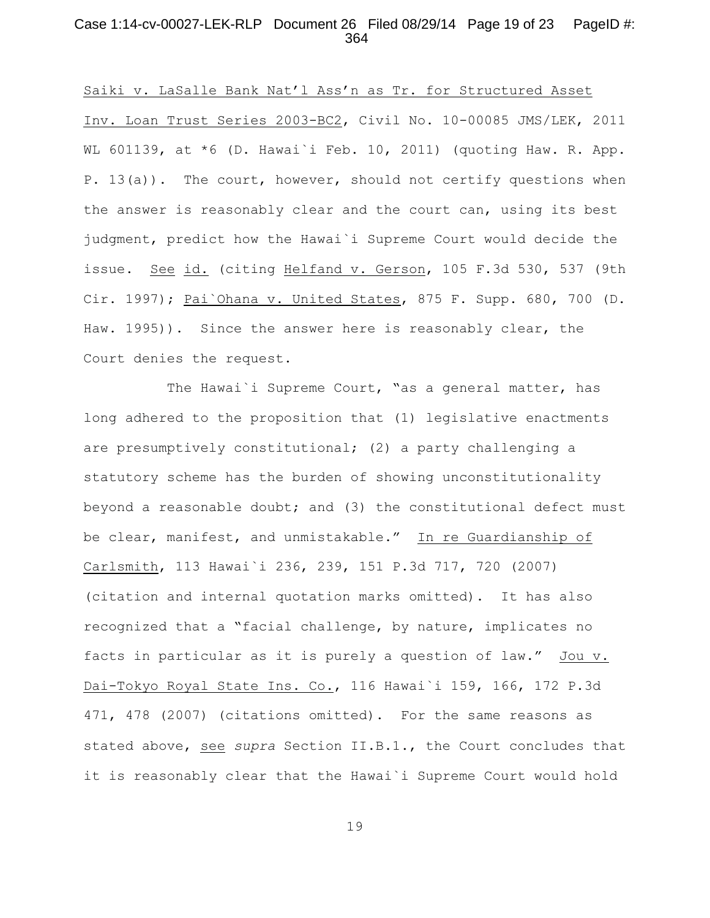## Case 1:14-cv-00027-LEK-RLP Document 26 Filed 08/29/14 Page 19 of 23 PageID #: 364

Saiki v. LaSalle Bank Nat'l Ass'n as Tr. for Structured Asset Inv. Loan Trust Series 2003-BC2, Civil No. 10-00085 JMS/LEK, 2011 WL 601139, at  $*6$  (D. Hawai'i Feb. 10, 2011) (quoting Haw. R. App. P. 13(a)). The court, however, should not certify questions when the answer is reasonably clear and the court can, using its best judgment, predict how the Hawai`i Supreme Court would decide the issue. See id. (citing Helfand v. Gerson, 105 F.3d 530, 537 (9th Cir. 1997); Pai`Ohana v. United States, 875 F. Supp. 680, 700 (D. Haw. 1995)). Since the answer here is reasonably clear, the Court denies the request.

The Hawai'i Supreme Court, "as a general matter, has long adhered to the proposition that (1) legislative enactments are presumptively constitutional; (2) a party challenging a statutory scheme has the burden of showing unconstitutionality beyond a reasonable doubt; and (3) the constitutional defect must be clear, manifest, and unmistakable." In re Guardianship of Carlsmith, 113 Hawai`i 236, 239, 151 P.3d 717, 720 (2007) (citation and internal quotation marks omitted). It has also recognized that a "facial challenge, by nature, implicates no facts in particular as it is purely a question of law." Jou v. Dai-Tokyo Royal State Ins. Co., 116 Hawai`i 159, 166, 172 P.3d 471, 478 (2007) (citations omitted). For the same reasons as stated above, see *supra* Section II.B.1., the Court concludes that it is reasonably clear that the Hawai`i Supreme Court would hold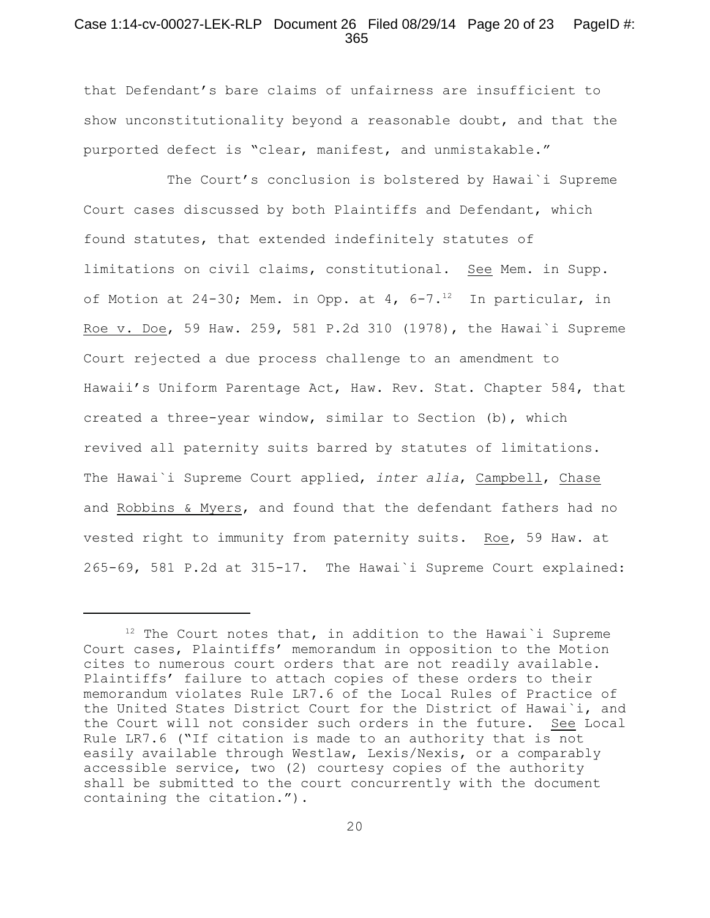#### Case 1:14-cv-00027-LEK-RLP Document 26 Filed 08/29/14 Page 20 of 23 PageID #: 365

that Defendant's bare claims of unfairness are insufficient to show unconstitutionality beyond a reasonable doubt, and that the purported defect is "clear, manifest, and unmistakable."

The Court's conclusion is bolstered by Hawai`i Supreme Court cases discussed by both Plaintiffs and Defendant, which found statutes, that extended indefinitely statutes of limitations on civil claims, constitutional. See Mem. in Supp. of Motion at 24-30; Mem. in Opp. at 4,  $6-7.^{12}$  In particular, in Roe v. Doe, 59 Haw. 259, 581 P.2d 310 (1978), the Hawai`i Supreme Court rejected a due process challenge to an amendment to Hawaii's Uniform Parentage Act, Haw. Rev. Stat. Chapter 584, that created a three-year window, similar to Section (b), which revived all paternity suits barred by statutes of limitations. The Hawai`i Supreme Court applied, *inter alia*, Campbell, Chase and Robbins & Myers, and found that the defendant fathers had no vested right to immunity from paternity suits. Roe, 59 Haw. at 265-69, 581 P.2d at 315-17. The Hawai`i Supreme Court explained:

 $12$  The Court notes that, in addition to the Hawai'i Supreme Court cases, Plaintiffs' memorandum in opposition to the Motion cites to numerous court orders that are not readily available. Plaintiffs' failure to attach copies of these orders to their memorandum violates Rule LR7.6 of the Local Rules of Practice of the United States District Court for the District of Hawai`i, and the Court will not consider such orders in the future. See Local Rule LR7.6 ("If citation is made to an authority that is not easily available through Westlaw, Lexis/Nexis, or a comparably accessible service, two (2) courtesy copies of the authority shall be submitted to the court concurrently with the document containing the citation.").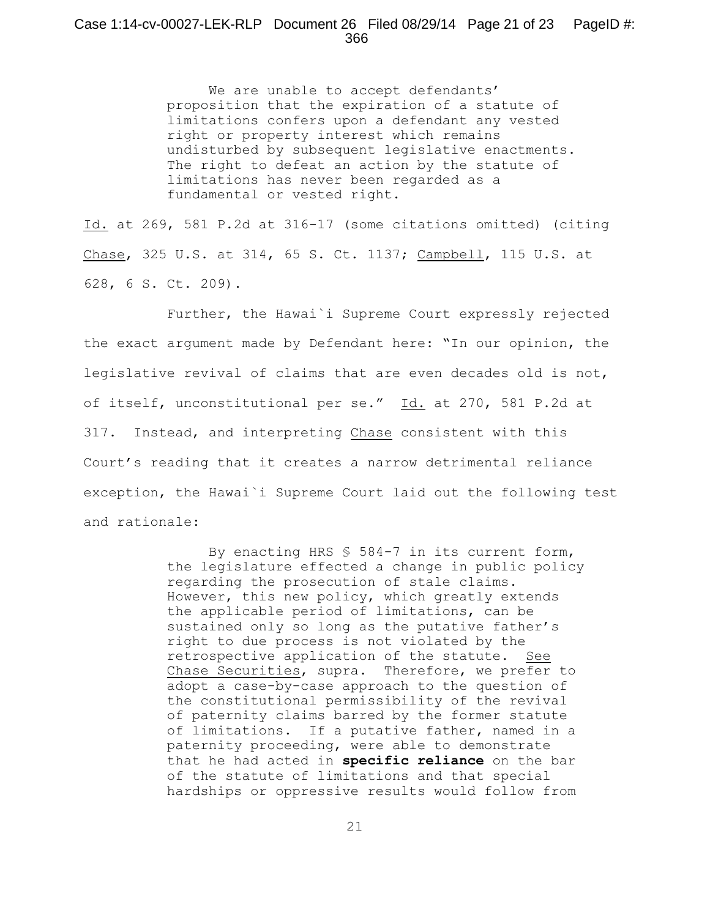### Case 1:14-cv-00027-LEK-RLP Document 26 Filed 08/29/14 Page 21 of 23 PageID #: 366

We are unable to accept defendants' proposition that the expiration of a statute of limitations confers upon a defendant any vested right or property interest which remains undisturbed by subsequent legislative enactments. The right to defeat an action by the statute of limitations has never been regarded as a fundamental or vested right.

Id. at 269, 581 P.2d at 316-17 (some citations omitted) (citing Chase, 325 U.S. at 314, 65 S. Ct. 1137; Campbell, 115 U.S. at 628, 6 S. Ct. 209).

Further, the Hawai`i Supreme Court expressly rejected the exact argument made by Defendant here: "In our opinion, the legislative revival of claims that are even decades old is not, of itself, unconstitutional per se." Id. at 270, 581 P.2d at 317. Instead, and interpreting Chase consistent with this Court's reading that it creates a narrow detrimental reliance exception, the Hawai`i Supreme Court laid out the following test and rationale:

> By enacting HRS § 584-7 in its current form, the legislature effected a change in public policy regarding the prosecution of stale claims. However, this new policy, which greatly extends the applicable period of limitations, can be sustained only so long as the putative father's right to due process is not violated by the retrospective application of the statute. See Chase Securities, supra. Therefore, we prefer to adopt a case-by-case approach to the question of the constitutional permissibility of the revival of paternity claims barred by the former statute of limitations. If a putative father, named in a paternity proceeding, were able to demonstrate that he had acted in **specific reliance** on the bar of the statute of limitations and that special hardships or oppressive results would follow from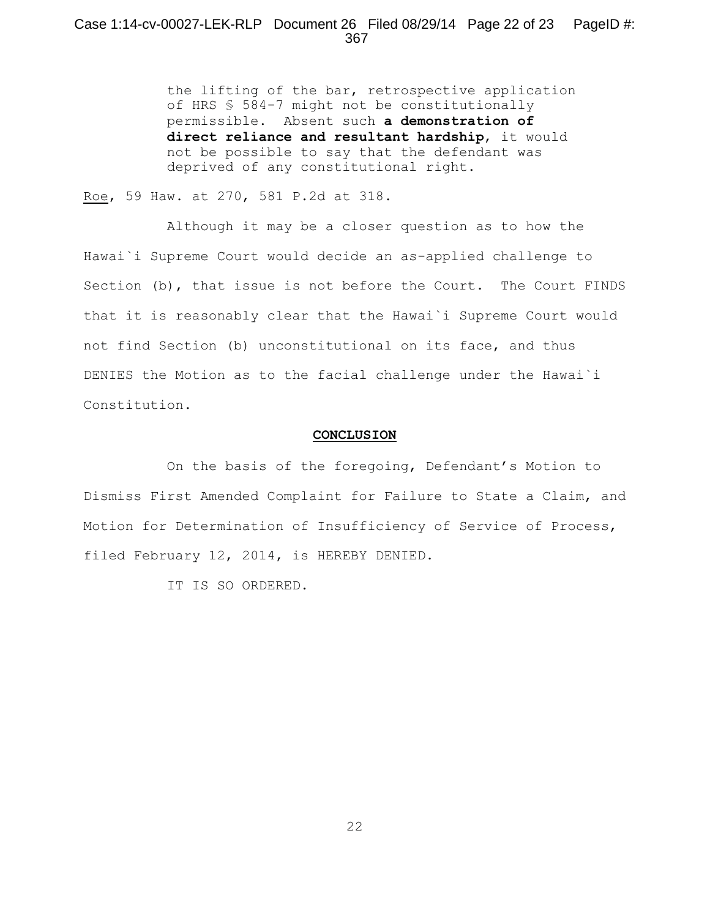the lifting of the bar, retrospective application of HRS § 584-7 might not be constitutionally permissible. Absent such **a demonstration of direct reliance and resultant hardship**, it would not be possible to say that the defendant was deprived of any constitutional right.

Roe, 59 Haw. at 270, 581 P.2d at 318.

Although it may be a closer question as to how the Hawai`i Supreme Court would decide an as-applied challenge to Section (b), that issue is not before the Court. The Court FINDS that it is reasonably clear that the Hawai`i Supreme Court would not find Section (b) unconstitutional on its face, and thus DENIES the Motion as to the facial challenge under the Hawai`i Constitution.

#### **CONCLUSION**

On the basis of the foregoing, Defendant's Motion to Dismiss First Amended Complaint for Failure to State a Claim, and Motion for Determination of Insufficiency of Service of Process, filed February 12, 2014, is HEREBY DENIED.

IT IS SO ORDERED.